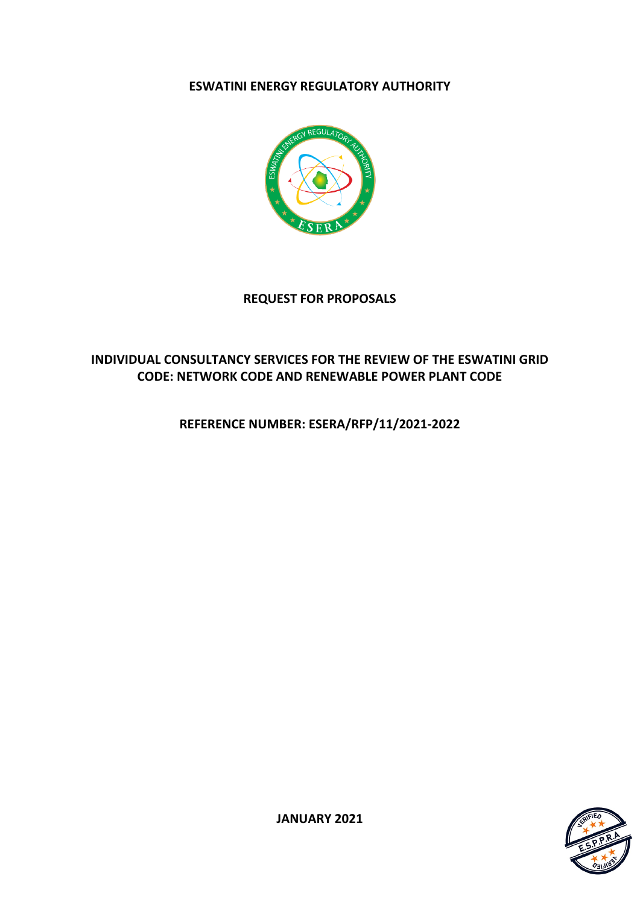# **ESWATINI ENERGY REGULATORY AUTHORITY**



# **REQUEST FOR PROPOSALS**

# **INDIVIDUAL CONSULTANCY SERVICES FOR THE REVIEW OF THE ESWATINI GRID CODE: NETWORK CODE AND RENEWABLE POWER PLANT CODE**

**REFERENCE NUMBER: ESERA/RFP/11/2021-2022**



**JANUARY 2021**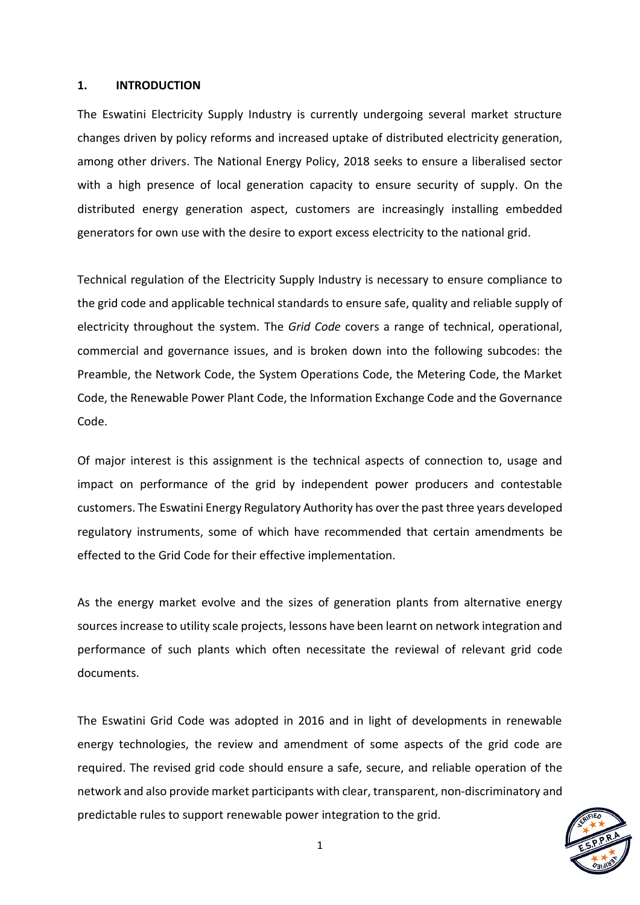#### **1. INTRODUCTION**

The Eswatini Electricity Supply Industry is currently undergoing several market structure changes driven by policy reforms and increased uptake of distributed electricity generation, among other drivers. The National Energy Policy, 2018 seeks to ensure a liberalised sector with a high presence of local generation capacity to ensure security of supply. On the distributed energy generation aspect, customers are increasingly installing embedded generators for own use with the desire to export excess electricity to the national grid.

Technical regulation of the Electricity Supply Industry is necessary to ensure compliance to the grid code and applicable technical standards to ensure safe, quality and reliable supply of electricity throughout the system. The *Grid Code* covers a range of technical, operational, commercial and governance issues, and is broken down into the following subcodes: the Preamble, the Network Code, the System Operations Code, the Metering Code, the Market Code, the Renewable Power Plant Code, the Information Exchange Code and the Governance Code.

Of major interest is this assignment is the technical aspects of connection to, usage and impact on performance of the grid by independent power producers and contestable customers. The Eswatini Energy Regulatory Authority has over the past three years developed regulatory instruments, some of which have recommended that certain amendments be effected to the Grid Code for their effective implementation.

As the energy market evolve and the sizes of generation plants from alternative energy sources increase to utility scale projects, lessons have been learnt on network integration and performance of such plants which often necessitate the reviewal of relevant grid code documents.

The Eswatini Grid Code was adopted in 2016 and in light of developments in renewable energy technologies, the review and amendment of some aspects of the grid code are required. The revised grid code should ensure a safe, secure, and reliable operation of the network and also provide market participants with clear, transparent, non-discriminatory and predictable rules to support renewable power integration to the grid.

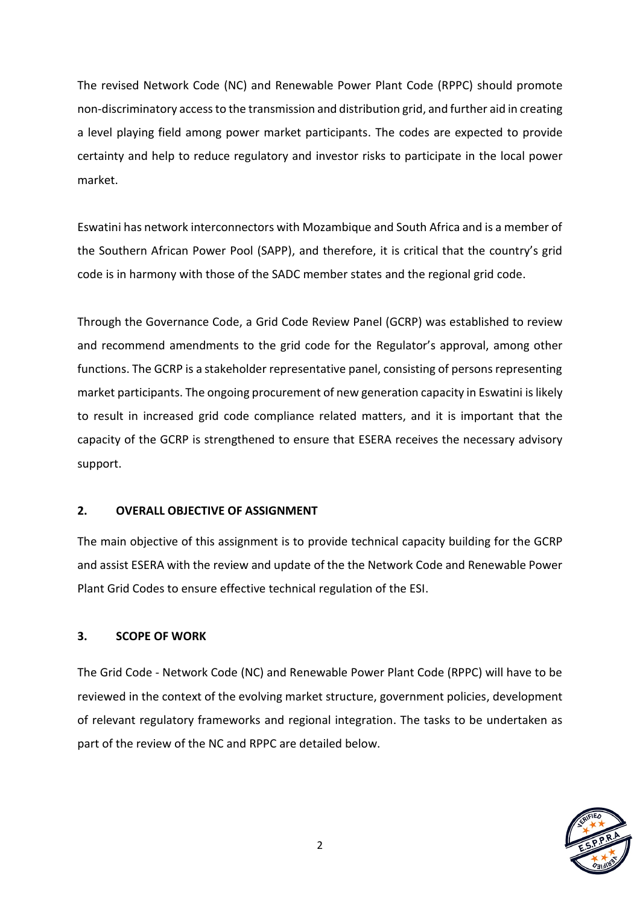The revised Network Code (NC) and Renewable Power Plant Code (RPPC) should promote non-discriminatory access to the transmission and distribution grid, and further aid in creating a level playing field among power market participants. The codes are expected to provide certainty and help to reduce regulatory and investor risks to participate in the local power market.

Eswatini has network interconnectors with Mozambique and South Africa and is a member of the Southern African Power Pool (SAPP), and therefore, it is critical that the country's grid code is in harmony with those of the SADC member states and the regional grid code.

Through the Governance Code, a Grid Code Review Panel (GCRP) was established to review and recommend amendments to the grid code for the Regulator's approval, among other functions. The GCRP is a stakeholder representative panel, consisting of persons representing market participants. The ongoing procurement of new generation capacity in Eswatini is likely to result in increased grid code compliance related matters, and it is important that the capacity of the GCRP is strengthened to ensure that ESERA receives the necessary advisory support.

# **2. OVERALL OBJECTIVE OF ASSIGNMENT**

The main objective of this assignment is to provide technical capacity building for the GCRP and assist ESERA with the review and update of the the Network Code and Renewable Power Plant Grid Codes to ensure effective technical regulation of the ESI.

# **3. SCOPE OF WORK**

The Grid Code - Network Code (NC) and Renewable Power Plant Code (RPPC) will have to be reviewed in the context of the evolving market structure, government policies, development of relevant regulatory frameworks and regional integration. The tasks to be undertaken as part of the review of the NC and RPPC are detailed below.

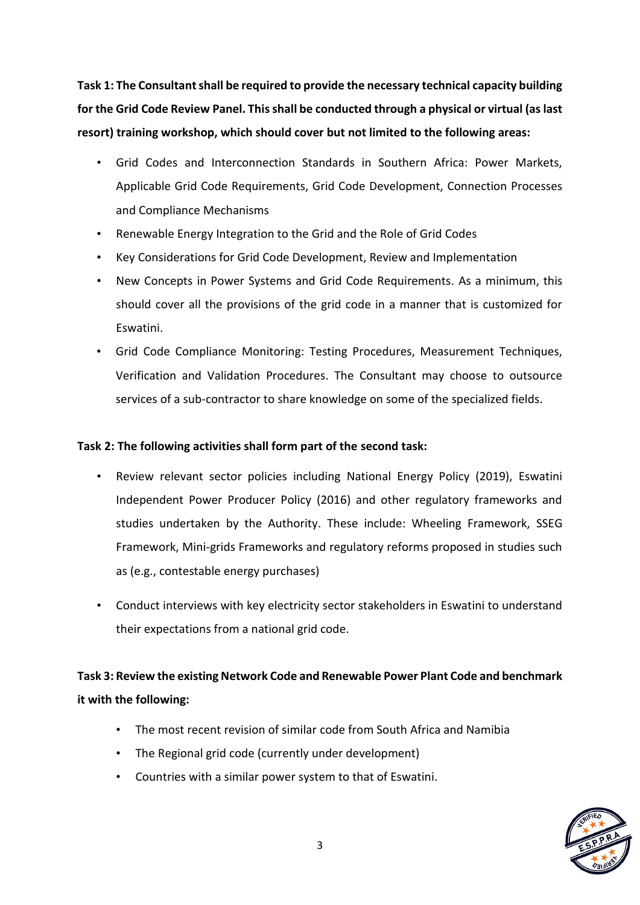**Task 1: The Consultant shall be required to provide the necessary technical capacity building for the Grid Code Review Panel. This shall be conducted through a physical or virtual (as last resort) training workshop, which should cover but not limited to the following areas:** 

- Grid Codes and Interconnection Standards in Southern Africa: Power Markets, Applicable Grid Code Requirements, Grid Code Development, Connection Processes and Compliance Mechanisms
- Renewable Energy Integration to the Grid and the Role of Grid Codes
- Key Considerations for Grid Code Development, Review and Implementation
- New Concepts in Power Systems and Grid Code Requirements. As a minimum, this should cover all the provisions of the grid code in a manner that is customized for Eswatini.
- Grid Code Compliance Monitoring: Testing Procedures, Measurement Techniques, Verification and Validation Procedures. The Consultant may choose to outsource services of a sub-contractor to share knowledge on some of the specialized fields.

#### **Task 2: The following activities shall form part of the second task:**

- Review relevant sector policies including National Energy Policy (2019), Eswatini Independent Power Producer Policy (2016) and other regulatory frameworks and studies undertaken by the Authority. These include: Wheeling Framework, SSEG Framework, Mini-grids Frameworks and regulatory reforms proposed in studies such as (e.g., contestable energy purchases)
- Conduct interviews with key electricity sector stakeholders in Eswatini to understand their expectations from a national grid code.

# **Task 3: Review the existing Network Code and Renewable Power Plant Code and benchmark it with the following:**

- The most recent revision of similar code from South Africa and Namibia
- The Regional grid code (currently under development)
- Countries with a similar power system to that of Eswatini.

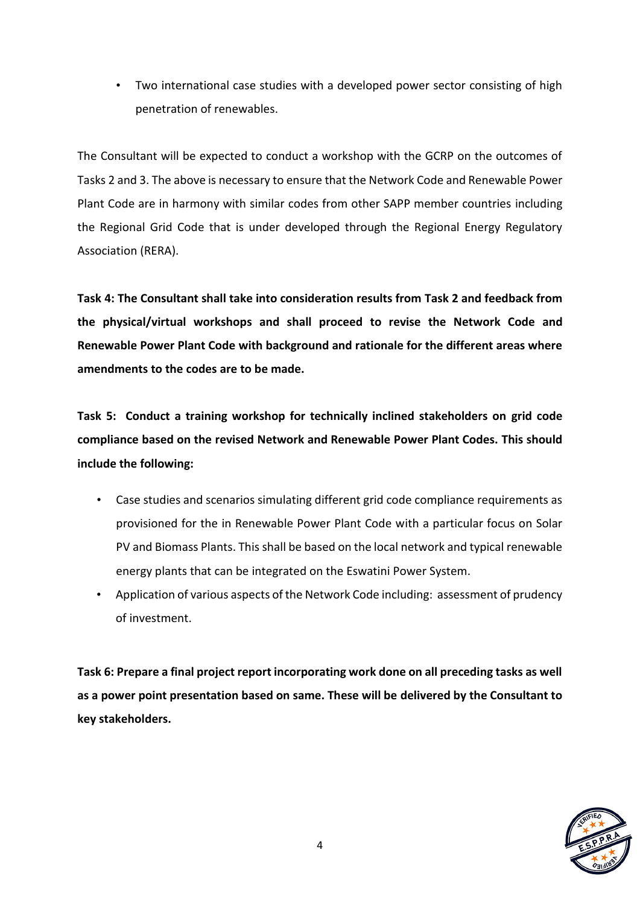• Two international case studies with a developed power sector consisting of high penetration of renewables.

The Consultant will be expected to conduct a workshop with the GCRP on the outcomes of Tasks 2 and 3. The above is necessary to ensure that the Network Code and Renewable Power Plant Code are in harmony with similar codes from other SAPP member countries including the Regional Grid Code that is under developed through the Regional Energy Regulatory Association (RERA).

**Task 4: The Consultant shall take into consideration results from Task 2 and feedback from the physical/virtual workshops and shall proceed to revise the Network Code and Renewable Power Plant Code with background and rationale for the different areas where amendments to the codes are to be made.**

**Task 5: Conduct a training workshop for technically inclined stakeholders on grid code compliance based on the revised Network and Renewable Power Plant Codes. This should include the following:** 

- Case studies and scenarios simulating different grid code compliance requirements as provisioned for the in Renewable Power Plant Code with a particular focus on Solar PV and Biomass Plants. This shall be based on the local network and typical renewable energy plants that can be integrated on the Eswatini Power System.
- Application of various aspects of the Network Code including: assessment of prudency of investment.

**Task 6: Prepare a final project report incorporating work done on all preceding tasks as well as a power point presentation based on same. These will be delivered by the Consultant to key stakeholders.**

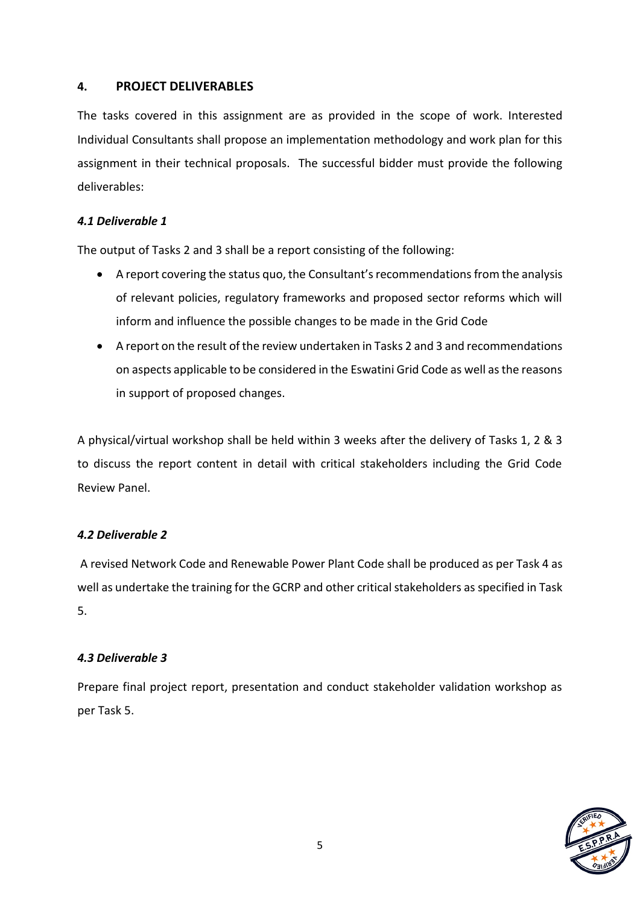# **4. PROJECT DELIVERABLES**

The tasks covered in this assignment are as provided in the scope of work. Interested Individual Consultants shall propose an implementation methodology and work plan for this assignment in their technical proposals. The successful bidder must provide the following deliverables:

#### *4.1 Deliverable 1*

The output of Tasks 2 and 3 shall be a report consisting of the following:

- A report covering the status quo, the Consultant's recommendations from the analysis of relevant policies, regulatory frameworks and proposed sector reforms which will inform and influence the possible changes to be made in the Grid Code
- A report on the result of the review undertaken in Tasks 2 and 3 and recommendations on aspects applicable to be considered in the Eswatini Grid Code as well as the reasons in support of proposed changes.

A physical/virtual workshop shall be held within 3 weeks after the delivery of Tasks 1, 2 & 3 to discuss the report content in detail with critical stakeholders including the Grid Code Review Panel.

# *4.2 Deliverable 2*

A revised Network Code and Renewable Power Plant Code shall be produced as per Task 4 as well as undertake the training for the GCRP and other critical stakeholders as specified in Task 5.

#### *4.3 Deliverable 3*

Prepare final project report, presentation and conduct stakeholder validation workshop as per Task 5.

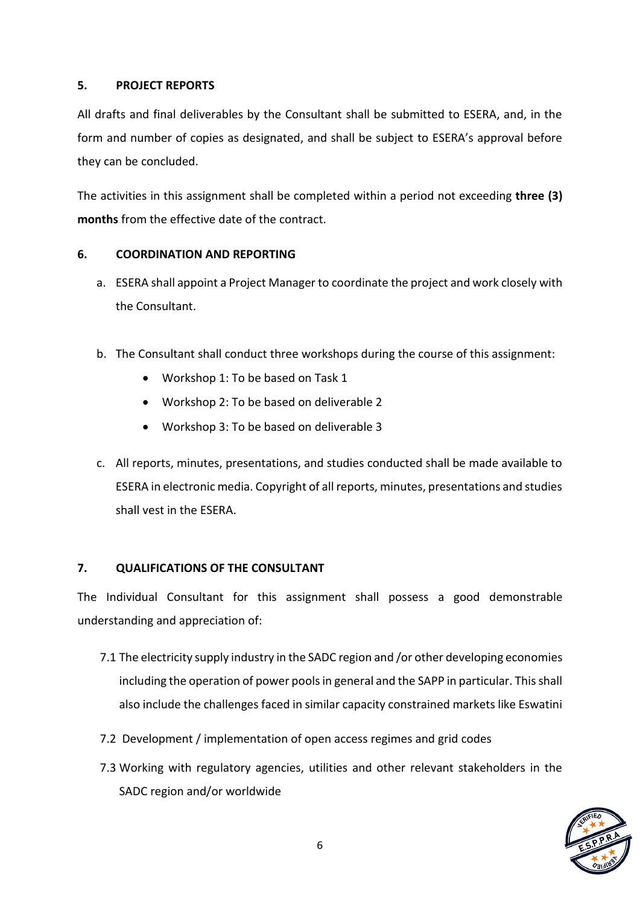# **5. PROJECT REPORTS**

All drafts and final deliverables by the Consultant shall be submitted to ESERA, and, in the form and number of copies as designated, and shall be subject to ESERA's approval before they can be concluded.

The activities in this assignment shall be completed within a period not exceeding **three (3) months** from the effective date of the contract.

#### **6. COORDINATION AND REPORTING**

- a. ESERA shall appoint a Project Manager to coordinate the project and work closely with the Consultant.
- b. The Consultant shall conduct three workshops during the course of this assignment:
	- Workshop 1: To be based on Task 1
	- Workshop 2: To be based on deliverable 2
	- Workshop 3: To be based on deliverable 3
- c. All reports, minutes, presentations, and studies conducted shall be made available to ESERA in electronic media. Copyright of all reports, minutes, presentations and studies shall vest in the ESERA.

# **7. QUALIFICATIONS OF THE CONSULTANT**

The Individual Consultant for this assignment shall possess a good demonstrable understanding and appreciation of:

- 7.1 The electricity supply industry in the SADC region and /or other developing economies including the operation of power pools in general and the SAPP in particular. This shall also include the challenges faced in similar capacity constrained markets like Eswatini
- 7.2 Development / implementation of open access regimes and grid codes
- 7.3 Working with regulatory agencies, utilities and other relevant stakeholders in the SADC region and/or worldwide

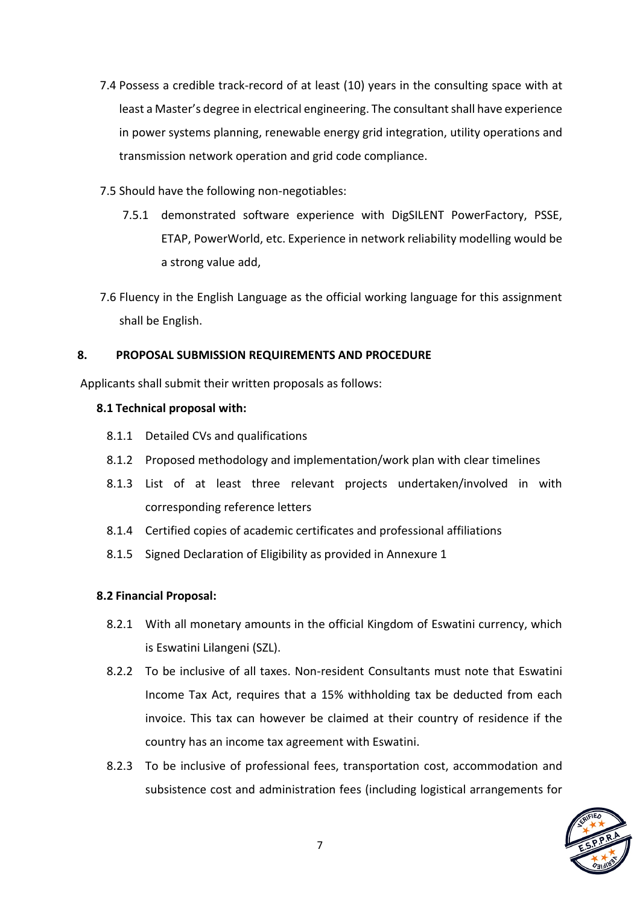- 7.4 Possess a credible track-record of at least (10) years in the consulting space with at least a Master's degree in electrical engineering. The consultant shall have experience in power systems planning, renewable energy grid integration, utility operations and transmission network operation and grid code compliance.
- 7.5 Should have the following non-negotiables:
	- 7.5.1 demonstrated software experience with DigSILENT PowerFactory, PSSE, ETAP, PowerWorld, etc. Experience in network reliability modelling would be a strong value add,
- 7.6 Fluency in the English Language as the official working language for this assignment shall be English.

# **8. PROPOSAL SUBMISSION REQUIREMENTS AND PROCEDURE**

Applicants shall submit their written proposals as follows:

# **8.1 Technical proposal with:**

- 8.1.1 Detailed CVs and qualifications
- 8.1.2 Proposed methodology and implementation/work plan with clear timelines
- 8.1.3 List of at least three relevant projects undertaken/involved in with corresponding reference letters
- 8.1.4 Certified copies of academic certificates and professional affiliations
- 8.1.5 Signed Declaration of Eligibility as provided in Annexure 1

# **8.2 Financial Proposal:**

- 8.2.1 With all monetary amounts in the official Kingdom of Eswatini currency, which is Eswatini Lilangeni (SZL).
- 8.2.2 To be inclusive of all taxes. Non-resident Consultants must note that Eswatini Income Tax Act, requires that a 15% withholding tax be deducted from each invoice. This tax can however be claimed at their country of residence if the country has an income tax agreement with Eswatini.
- 8.2.3 To be inclusive of professional fees, transportation cost, accommodation and subsistence cost and administration fees (including logistical arrangements for

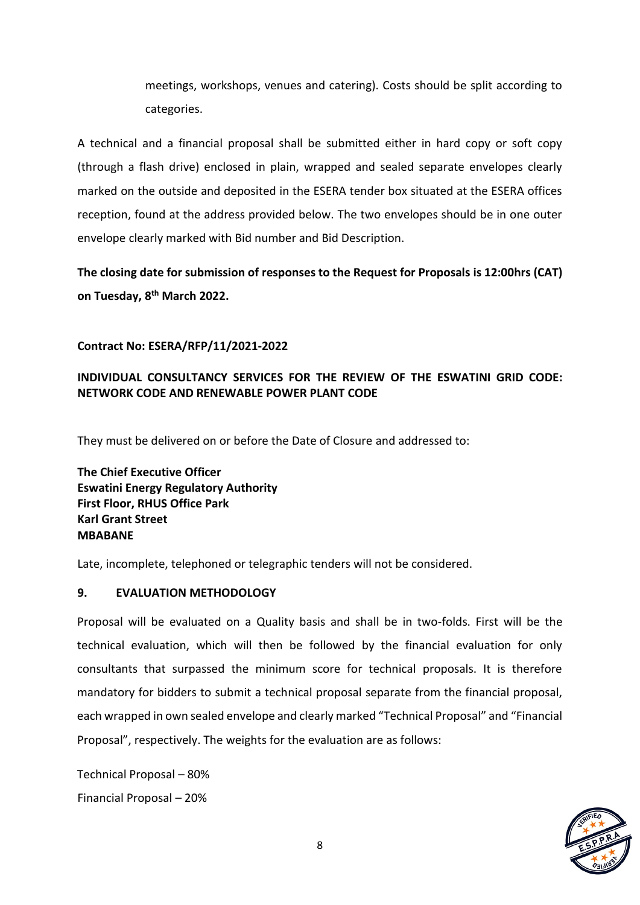meetings, workshops, venues and catering). Costs should be split according to categories.

A technical and a financial proposal shall be submitted either in hard copy or soft copy (through a flash drive) enclosed in plain, wrapped and sealed separate envelopes clearly marked on the outside and deposited in the ESERA tender box situated at the ESERA offices reception, found at the address provided below. The two envelopes should be in one outer envelope clearly marked with Bid number and Bid Description.

**The closing date for submission of responses to the Request for Proposals is 12:00hrs (CAT) on Tuesday, 8 th March 2022.**

# **Contract No: ESERA/RFP/11/2021-2022**

# **INDIVIDUAL CONSULTANCY SERVICES FOR THE REVIEW OF THE ESWATINI GRID CODE: NETWORK CODE AND RENEWABLE POWER PLANT CODE**

They must be delivered on or before the Date of Closure and addressed to:

**The Chief Executive Officer Eswatini Energy Regulatory Authority First Floor, RHUS Office Park Karl Grant Street MBABANE**

Late, incomplete, telephoned or telegraphic tenders will not be considered.

#### **9. EVALUATION METHODOLOGY**

Proposal will be evaluated on a Quality basis and shall be in two-folds. First will be the technical evaluation, which will then be followed by the financial evaluation for only consultants that surpassed the minimum score for technical proposals. It is therefore mandatory for bidders to submit a technical proposal separate from the financial proposal, each wrapped in own sealed envelope and clearly marked "Technical Proposal" and "Financial Proposal", respectively. The weights for the evaluation are as follows:

Technical Proposal – 80% Financial Proposal – 20%

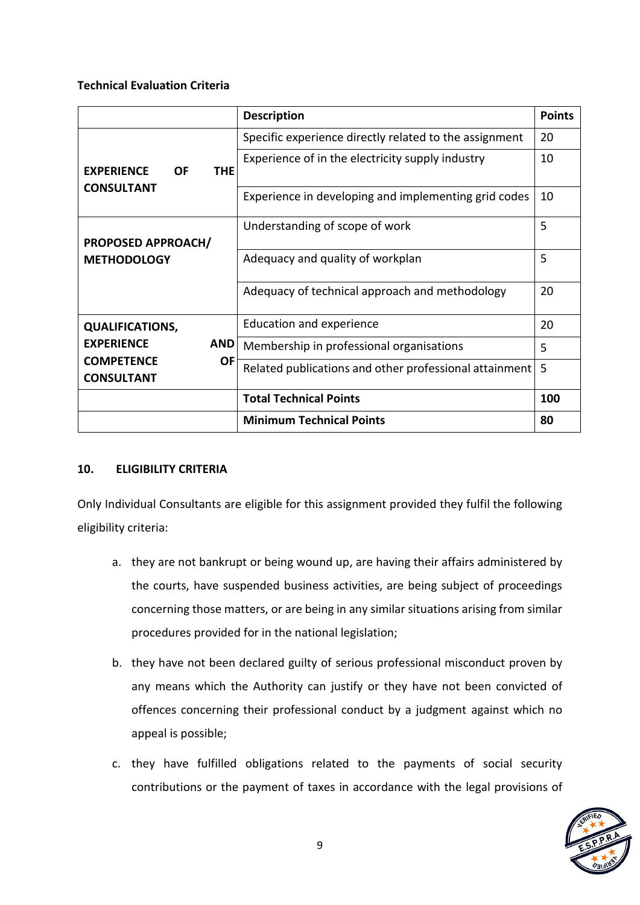#### **Technical Evaluation Criteria**

|                                                 | <b>Description</b>                                     | <b>Points</b> |
|-------------------------------------------------|--------------------------------------------------------|---------------|
|                                                 | Specific experience directly related to the assignment | 20            |
| <b>EXPERIENCE</b><br><b>OF</b><br><b>THE</b>    | Experience of in the electricity supply industry       | 10            |
| <b>CONSULTANT</b>                               | Experience in developing and implementing grid codes   | 10            |
| <b>PROPOSED APPROACH/</b><br><b>METHODOLOGY</b> | Understanding of scope of work                         | 5             |
|                                                 | Adequacy and quality of workplan                       | 5             |
|                                                 | Adequacy of technical approach and methodology         | 20            |
| <b>QUALIFICATIONS,</b>                          | <b>Education and experience</b>                        | 20            |
| <b>EXPERIENCE</b><br><b>AND</b>                 | Membership in professional organisations               | 5             |
| <b>COMPETENCE</b><br>0F<br><b>CONSULTANT</b>    | Related publications and other professional attainment | 5             |
|                                                 | <b>Total Technical Points</b>                          | 100           |
|                                                 | <b>Minimum Technical Points</b>                        | 80            |

#### **10. ELIGIBILITY CRITERIA**

Only Individual Consultants are eligible for this assignment provided they fulfil the following eligibility criteria:

- a. they are not bankrupt or being wound up, are having their affairs administered by the courts, have suspended business activities, are being subject of proceedings concerning those matters, or are being in any similar situations arising from similar procedures provided for in the national legislation;
- b. they have not been declared guilty of serious professional misconduct proven by any means which the Authority can justify or they have not been convicted of offences concerning their professional conduct by a judgment against which no appeal is possible;
- c. they have fulfilled obligations related to the payments of social security contributions or the payment of taxes in accordance with the legal provisions of

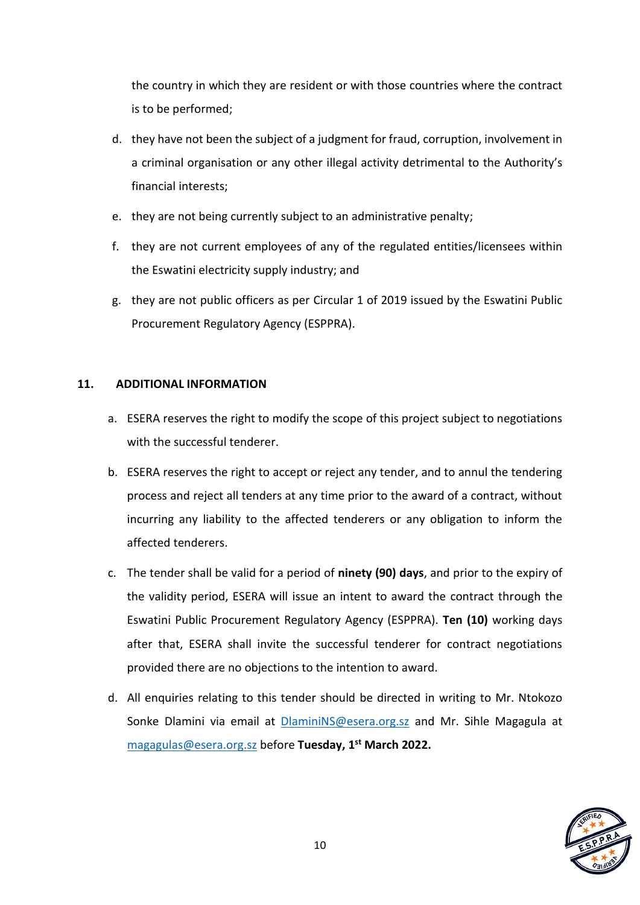the country in which they are resident or with those countries where the contract is to be performed;

- d. they have not been the subject of a judgment for fraud, corruption, involvement in a criminal organisation or any other illegal activity detrimental to the Authority's financial interests;
- e. they are not being currently subject to an administrative penalty;
- f. they are not current employees of any of the regulated entities/licensees within the Eswatini electricity supply industry; and
- g. they are not public officers as per Circular 1 of 2019 issued by the Eswatini Public Procurement Regulatory Agency (ESPPRA).

# **11. ADDITIONAL INFORMATION**

- a. ESERA reserves the right to modify the scope of this project subject to negotiations with the successful tenderer.
- b. ESERA reserves the right to accept or reject any tender, and to annul the tendering process and reject all tenders at any time prior to the award of a contract, without incurring any liability to the affected tenderers or any obligation to inform the affected tenderers.
- c. The tender shall be valid for a period of **ninety (90) days**, and prior to the expiry of the validity period, ESERA will issue an intent to award the contract through the Eswatini Public Procurement Regulatory Agency (ESPPRA). **Ten (10)** working days after that, ESERA shall invite the successful tenderer for contract negotiations provided there are no objections to the intention to award.
- d. All enquiries relating to this tender should be directed in writing to Mr. Ntokozo Sonke Dlamini via email at [DlaminiNS@esera.org.sz](mailto:DlaminiNS@esera.org.sz) and Mr. Sihle Magagula at [magagulas@esera.org.sz](mailto:magagulas@esera.org.sz) before **Tuesday, 1 st March 2022.**

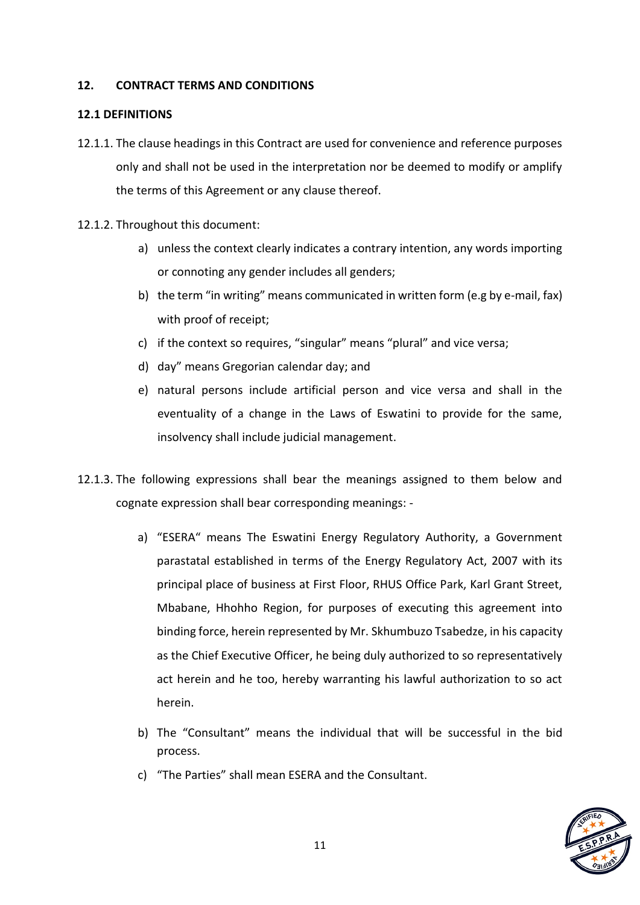## **12. CONTRACT TERMS AND CONDITIONS**

#### **12.1 DEFINITIONS**

- 12.1.1. The clause headings in this Contract are used for convenience and reference purposes only and shall not be used in the interpretation nor be deemed to modify or amplify the terms of this Agreement or any clause thereof.
- 12.1.2. Throughout this document:
	- a) unless the context clearly indicates a contrary intention, any words importing or connoting any gender includes all genders;
	- b) the term "in writing" means communicated in written form (e.g by e-mail, fax) with proof of receipt;
	- c) if the context so requires, "singular" means "plural" and vice versa;
	- d) day" means Gregorian calendar day; and
	- e) natural persons include artificial person and vice versa and shall in the eventuality of a change in the Laws of Eswatini to provide for the same, insolvency shall include judicial management.
- 12.1.3. The following expressions shall bear the meanings assigned to them below and cognate expression shall bear corresponding meanings:
	- a) "ESERA" means The Eswatini Energy Regulatory Authority, a Government parastatal established in terms of the Energy Regulatory Act, 2007 with its principal place of business at First Floor, RHUS Office Park, Karl Grant Street, Mbabane, Hhohho Region, for purposes of executing this agreement into binding force, herein represented by Mr. Skhumbuzo Tsabedze, in his capacity as the Chief Executive Officer, he being duly authorized to so representatively act herein and he too, hereby warranting his lawful authorization to so act herein.
	- b) The "Consultant" means the individual that will be successful in the bid process.
	- c) "The Parties" shall mean ESERA and the Consultant.

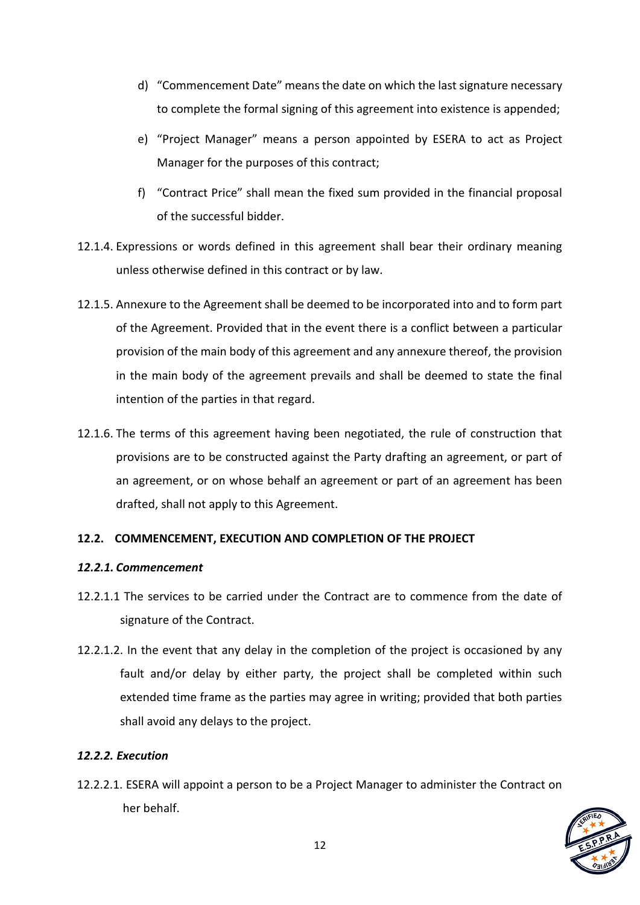- d) "Commencement Date" means the date on which the last signature necessary to complete the formal signing of this agreement into existence is appended;
- e) "Project Manager" means a person appointed by ESERA to act as Project Manager for the purposes of this contract;
- f) "Contract Price" shall mean the fixed sum provided in the financial proposal of the successful bidder.
- 12.1.4. Expressions or words defined in this agreement shall bear their ordinary meaning unless otherwise defined in this contract or by law.
- 12.1.5. Annexure to the Agreement shall be deemed to be incorporated into and to form part of the Agreement. Provided that in the event there is a conflict between a particular provision of the main body of this agreement and any annexure thereof, the provision in the main body of the agreement prevails and shall be deemed to state the final intention of the parties in that regard.
- 12.1.6. The terms of this agreement having been negotiated, the rule of construction that provisions are to be constructed against the Party drafting an agreement, or part of an agreement, or on whose behalf an agreement or part of an agreement has been drafted, shall not apply to this Agreement.

# **12.2. COMMENCEMENT, EXECUTION AND COMPLETION OF THE PROJECT**

#### *12.2.1. Commencement*

- 12.2.1.1 The services to be carried under the Contract are to commence from the date of signature of the Contract.
- 12.2.1.2. In the event that any delay in the completion of the project is occasioned by any fault and/or delay by either party, the project shall be completed within such extended time frame as the parties may agree in writing; provided that both parties shall avoid any delays to the project.

# *12.2.2. Execution*

12.2.2.1. ESERA will appoint a person to be a Project Manager to administer the Contract on her behalf.

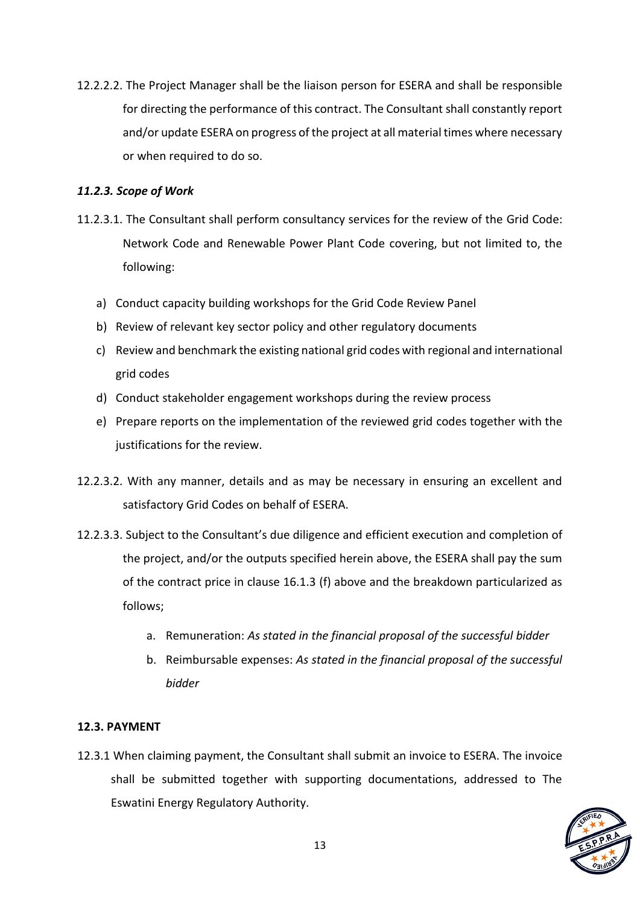12.2.2.2. The Project Manager shall be the liaison person for ESERA and shall be responsible for directing the performance of this contract. The Consultant shall constantly report and/or update ESERA on progress of the project at all material times where necessary or when required to do so.

# *11.2.3. Scope of Work*

- 11.2.3.1. The Consultant shall perform consultancy services for the review of the Grid Code: Network Code and Renewable Power Plant Code covering, but not limited to, the following:
	- a) Conduct capacity building workshops for the Grid Code Review Panel
	- b) Review of relevant key sector policy and other regulatory documents
	- c) Review and benchmark the existing national grid codes with regional and international grid codes
	- d) Conduct stakeholder engagement workshops during the review process
	- e) Prepare reports on the implementation of the reviewed grid codes together with the justifications for the review.
- 12.2.3.2. With any manner, details and as may be necessary in ensuring an excellent and satisfactory Grid Codes on behalf of ESERA.
- 12.2.3.3. Subject to the Consultant's due diligence and efficient execution and completion of the project, and/or the outputs specified herein above, the ESERA shall pay the sum of the contract price in clause 16.1.3 (f) above and the breakdown particularized as follows;
	- a. Remuneration: *As stated in the financial proposal of the successful bidder*
	- b. Reimbursable expenses: *As stated in the financial proposal of the successful bidder*

# **12.3. PAYMENT**

12.3.1 When claiming payment, the Consultant shall submit an invoice to ESERA. The invoice shall be submitted together with supporting documentations, addressed to The Eswatini Energy Regulatory Authority.

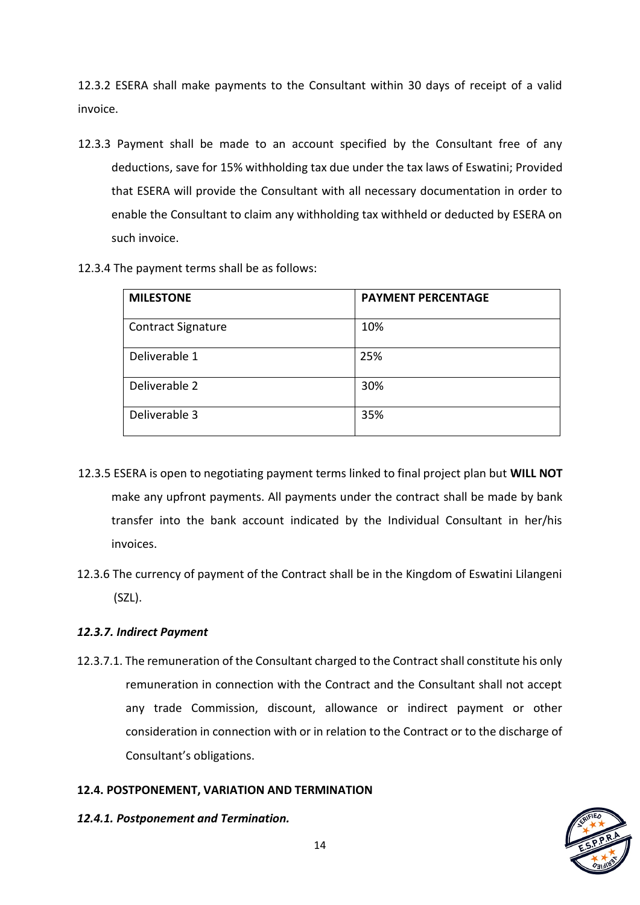12.3.2 ESERA shall make payments to the Consultant within 30 days of receipt of a valid invoice.

- 12.3.3 Payment shall be made to an account specified by the Consultant free of any deductions, save for 15% withholding tax due under the tax laws of Eswatini; Provided that ESERA will provide the Consultant with all necessary documentation in order to enable the Consultant to claim any withholding tax withheld or deducted by ESERA on such invoice.
- 12.3.4 The payment terms shall be as follows:

| <b>MILESTONE</b>          | <b>PAYMENT PERCENTAGE</b> |
|---------------------------|---------------------------|
| <b>Contract Signature</b> | 10%                       |
| Deliverable 1             | 25%                       |
| Deliverable 2             | 30%                       |
| Deliverable 3             | 35%                       |

- 12.3.5 ESERA is open to negotiating payment terms linked to final project plan but **WILL NOT**  make any upfront payments. All payments under the contract shall be made by bank transfer into the bank account indicated by the Individual Consultant in her/his invoices.
- 12.3.6 The currency of payment of the Contract shall be in the Kingdom of Eswatini Lilangeni (SZL).

# *12.3.7. Indirect Payment*

12.3.7.1. The remuneration of the Consultant charged to the Contract shall constitute his only remuneration in connection with the Contract and the Consultant shall not accept any trade Commission, discount, allowance or indirect payment or other consideration in connection with or in relation to the Contract or to the discharge of Consultant's obligations.

# **12.4. POSTPONEMENT, VARIATION AND TERMINATION**

*12.4.1. Postponement and Termination.* 

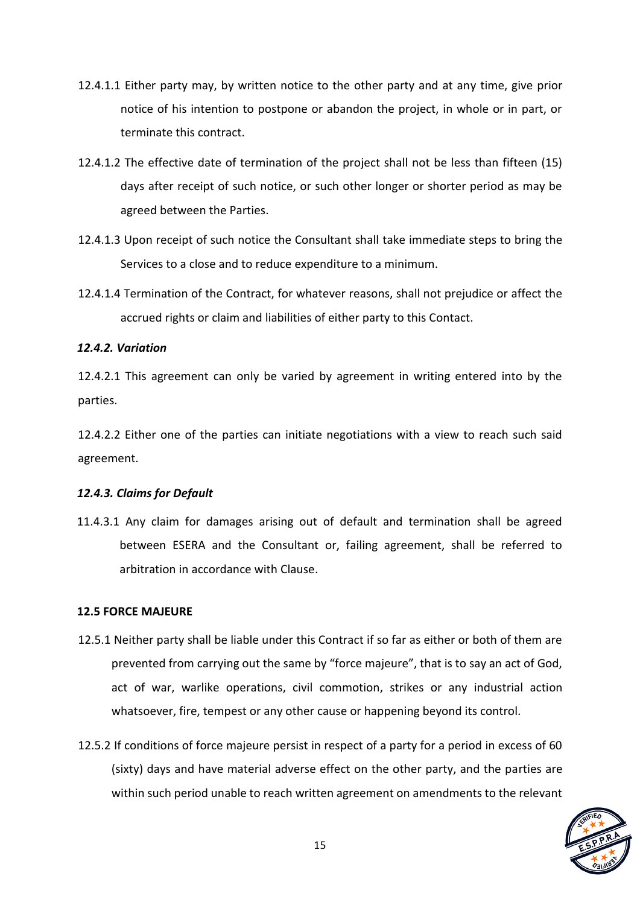- 12.4.1.1 Either party may, by written notice to the other party and at any time, give prior notice of his intention to postpone or abandon the project, in whole or in part, or terminate this contract.
- 12.4.1.2 The effective date of termination of the project shall not be less than fifteen (15) days after receipt of such notice, or such other longer or shorter period as may be agreed between the Parties.
- 12.4.1.3 Upon receipt of such notice the Consultant shall take immediate steps to bring the Services to a close and to reduce expenditure to a minimum.
- 12.4.1.4 Termination of the Contract, for whatever reasons, shall not prejudice or affect the accrued rights or claim and liabilities of either party to this Contact.

## *12.4.2. Variation*

12.4.2.1 This agreement can only be varied by agreement in writing entered into by the parties.

12.4.2.2 Either one of the parties can initiate negotiations with a view to reach such said agreement.

#### *12.4.3. Claims for Default*

11.4.3.1 Any claim for damages arising out of default and termination shall be agreed between ESERA and the Consultant or, failing agreement, shall be referred to arbitration in accordance with Clause.

#### **12.5 FORCE MAJEURE**

- 12.5.1 Neither party shall be liable under this Contract if so far as either or both of them are prevented from carrying out the same by "force majeure", that is to say an act of God, act of war, warlike operations, civil commotion, strikes or any industrial action whatsoever, fire, tempest or any other cause or happening beyond its control.
- 12.5.2 If conditions of force majeure persist in respect of a party for a period in excess of 60 (sixty) days and have material adverse effect on the other party, and the parties are within such period unable to reach written agreement on amendments to the relevant

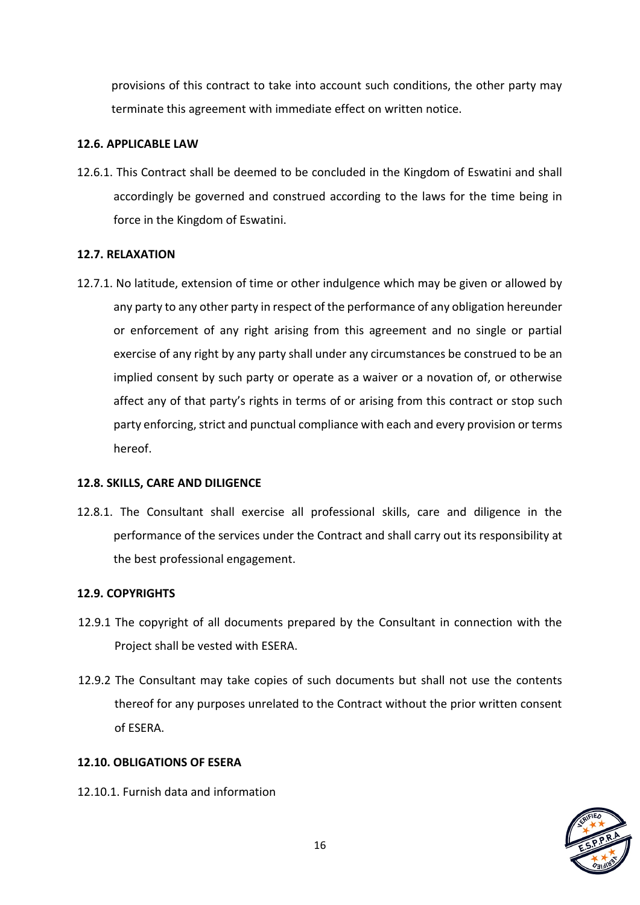provisions of this contract to take into account such conditions, the other party may terminate this agreement with immediate effect on written notice.

#### **12.6. APPLICABLE LAW**

12.6.1. This Contract shall be deemed to be concluded in the Kingdom of Eswatini and shall accordingly be governed and construed according to the laws for the time being in force in the Kingdom of Eswatini.

#### **12.7. RELAXATION**

12.7.1. No latitude, extension of time or other indulgence which may be given or allowed by any party to any other party in respect of the performance of any obligation hereunder or enforcement of any right arising from this agreement and no single or partial exercise of any right by any party shall under any circumstances be construed to be an implied consent by such party or operate as a waiver or a novation of, or otherwise affect any of that party's rights in terms of or arising from this contract or stop such party enforcing, strict and punctual compliance with each and every provision or terms hereof.

#### **12.8. SKILLS, CARE AND DILIGENCE**

12.8.1. The Consultant shall exercise all professional skills, care and diligence in the performance of the services under the Contract and shall carry out its responsibility at the best professional engagement.

#### **12.9. COPYRIGHTS**

- 12.9.1 The copyright of all documents prepared by the Consultant in connection with the Project shall be vested with ESERA.
- 12.9.2 The Consultant may take copies of such documents but shall not use the contents thereof for any purposes unrelated to the Contract without the prior written consent of ESERA.

#### **12.10. OBLIGATIONS OF ESERA**

12.10.1. Furnish data and information

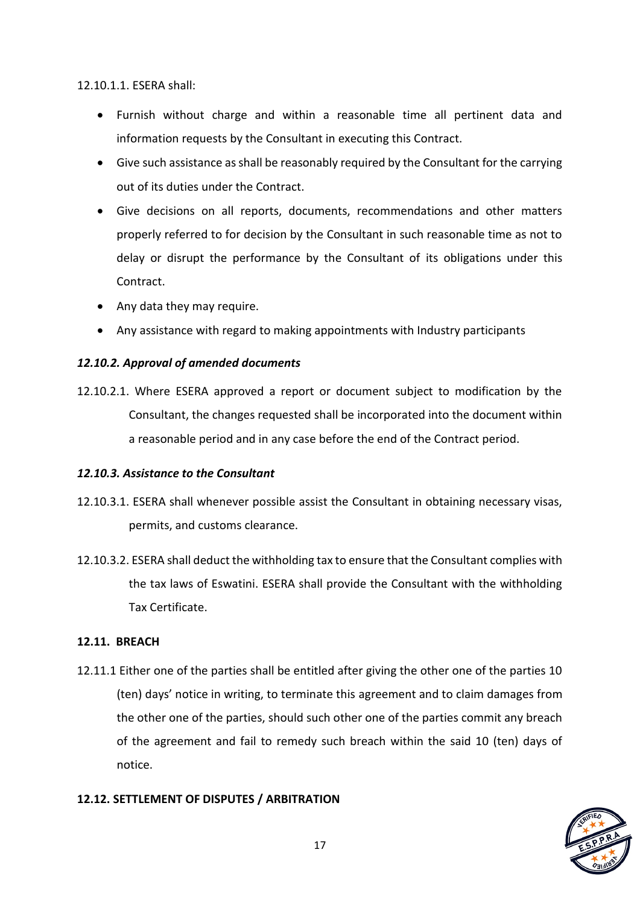12.10.1.1. ESERA shall:

- Furnish without charge and within a reasonable time all pertinent data and information requests by the Consultant in executing this Contract.
- Give such assistance as shall be reasonably required by the Consultant for the carrying out of its duties under the Contract.
- Give decisions on all reports, documents, recommendations and other matters properly referred to for decision by the Consultant in such reasonable time as not to delay or disrupt the performance by the Consultant of its obligations under this Contract.
- Any data they may require.
- Any assistance with regard to making appointments with Industry participants

# *12.10.2. Approval of amended documents*

12.10.2.1. Where ESERA approved a report or document subject to modification by the Consultant, the changes requested shall be incorporated into the document within a reasonable period and in any case before the end of the Contract period.

# *12.10.3. Assistance to the Consultant*

- 12.10.3.1. ESERA shall whenever possible assist the Consultant in obtaining necessary visas, permits, and customs clearance.
- 12.10.3.2. ESERA shall deduct the withholding tax to ensure that the Consultant complies with the tax laws of Eswatini. ESERA shall provide the Consultant with the withholding Tax Certificate.

# **12.11. BREACH**

12.11.1 Either one of the parties shall be entitled after giving the other one of the parties 10 (ten) days' notice in writing, to terminate this agreement and to claim damages from the other one of the parties, should such other one of the parties commit any breach of the agreement and fail to remedy such breach within the said 10 (ten) days of notice.

# **12.12. SETTLEMENT OF DISPUTES / ARBITRATION**

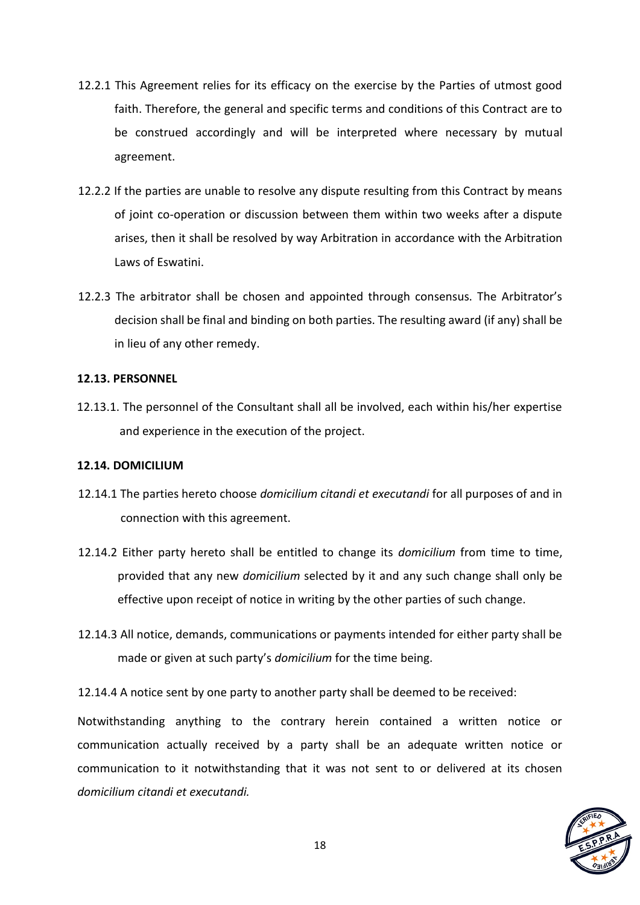- 12.2.1 This Agreement relies for its efficacy on the exercise by the Parties of utmost good faith. Therefore, the general and specific terms and conditions of this Contract are to be construed accordingly and will be interpreted where necessary by mutual agreement.
- 12.2.2 If the parties are unable to resolve any dispute resulting from this Contract by means of joint co-operation or discussion between them within two weeks after a dispute arises, then it shall be resolved by way Arbitration in accordance with the Arbitration Laws of Eswatini.
- 12.2.3 The arbitrator shall be chosen and appointed through consensus. The Arbitrator's decision shall be final and binding on both parties. The resulting award (if any) shall be in lieu of any other remedy.

#### **12.13. PERSONNEL**

12.13.1. The personnel of the Consultant shall all be involved, each within his/her expertise and experience in the execution of the project.

#### **12.14. DOMICILIUM**

- 12.14.1 The parties hereto choose *domicilium citandi et executandi* for all purposes of and in connection with this agreement.
- 12.14.2 Either party hereto shall be entitled to change its *domicilium* from time to time, provided that any new *domicilium* selected by it and any such change shall only be effective upon receipt of notice in writing by the other parties of such change.
- 12.14.3 All notice, demands, communications or payments intended for either party shall be made or given at such party's *domicilium* for the time being.

12.14.4 A notice sent by one party to another party shall be deemed to be received:

Notwithstanding anything to the contrary herein contained a written notice or communication actually received by a party shall be an adequate written notice or communication to it notwithstanding that it was not sent to or delivered at its chosen *domicilium citandi et executandi.*